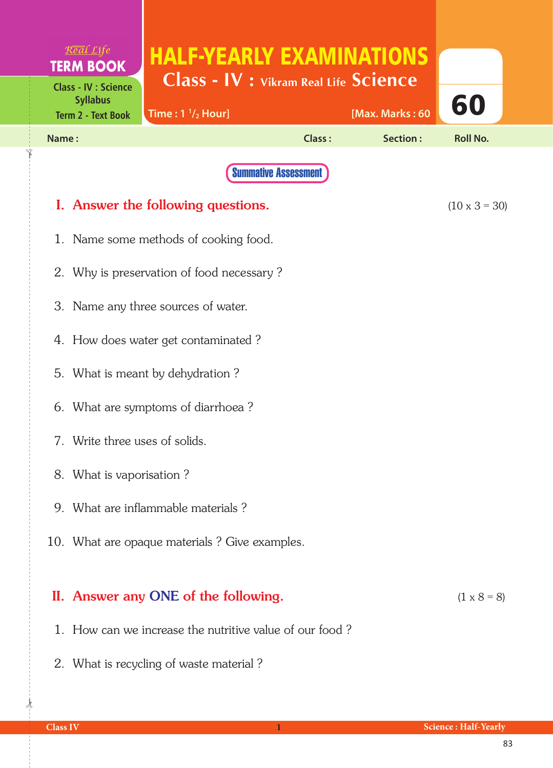|                                               | $R$ <sup>o</sup> $d$ $L$ <i>ife</i>                     |                                                                                 |                             |                 |                      |  |
|-----------------------------------------------|---------------------------------------------------------|---------------------------------------------------------------------------------|-----------------------------|-----------------|----------------------|--|
|                                               | <b>TERM BOOK</b><br><b>Class - IV : Science</b>         | <b>HALF-YEARLY EXAMINATIONS</b><br><b>Class - IV : Vikram Real Life Science</b> |                             |                 |                      |  |
|                                               | <b>Syllabus</b><br><b>Term 2 - Text Book</b>            | Time: $1 \frac{1}{2}$ Hour]                                                     |                             | [Max. Marks: 60 | 60                   |  |
| Name:                                         |                                                         |                                                                                 | <b>Class:</b>               | Section:        | <b>Roll No.</b>      |  |
|                                               |                                                         |                                                                                 | <b>Summative Assessment</b> |                 |                      |  |
|                                               |                                                         | I. Answer the following questions.                                              |                             |                 | $(10 \times 3 = 30)$ |  |
|                                               | 1. Name some methods of cooking food.                   |                                                                                 |                             |                 |                      |  |
| 2. Why is preservation of food necessary?     |                                                         |                                                                                 |                             |                 |                      |  |
| 3. Name any three sources of water.           |                                                         |                                                                                 |                             |                 |                      |  |
|                                               | 4. How does water get contaminated?                     |                                                                                 |                             |                 |                      |  |
|                                               | 5. What is meant by dehydration?                        |                                                                                 |                             |                 |                      |  |
|                                               | 6. What are symptoms of diarrhoea?                      |                                                                                 |                             |                 |                      |  |
|                                               | 7. Write three uses of solids.                          |                                                                                 |                             |                 |                      |  |
|                                               | 8. What is vaporisation?                                |                                                                                 |                             |                 |                      |  |
|                                               | 9. What are inflammable materials?                      |                                                                                 |                             |                 |                      |  |
| 10. What are opaque materials? Give examples. |                                                         |                                                                                 |                             |                 |                      |  |
|                                               |                                                         |                                                                                 |                             |                 |                      |  |
|                                               |                                                         | II. Answer any ONE of the following.                                            |                             |                 | $(1 \times 8 = 8)$   |  |
|                                               | 1. How can we increase the nutritive value of our food? |                                                                                 |                             |                 |                      |  |

2. What is recycling of waste material ?

 $\frac{1}{2}$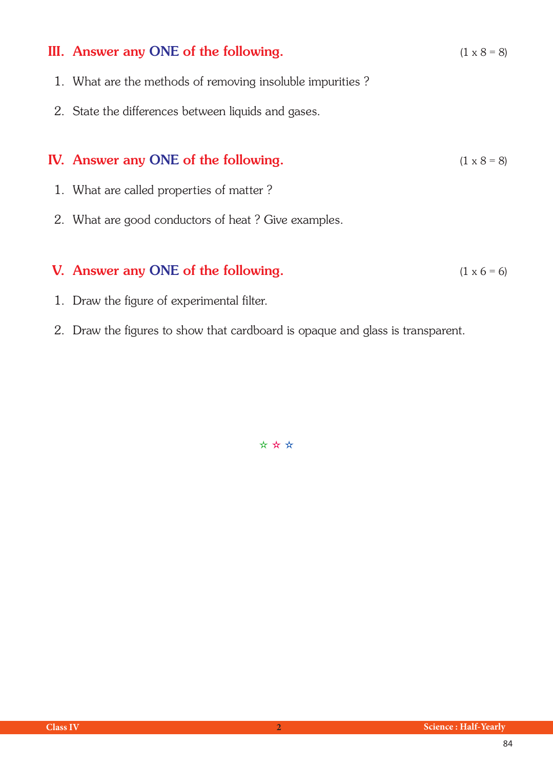| III. Answer any ONE of the following.                     | $(1 \times 8 = 8)$ |
|-----------------------------------------------------------|--------------------|
| 1. What are the methods of removing insoluble impurities? |                    |
| 2. State the differences between liquids and gases.       |                    |
|                                                           |                    |
| <b>IV.</b> Answer any ONE of the following.               | $(1 \times 8 = 8)$ |
| 1. What are called properties of matter?                  |                    |
| 2. What are good conductors of heat? Give examples.       |                    |
|                                                           |                    |
| V. Answer any ONE of the following.                       | $(1 \times 6 = 6)$ |

- 1. Draw the figure of experimental filter.
- 2. Draw the figures to show that cardboard is opaque and glass is transparent.

✫ ✫ ✫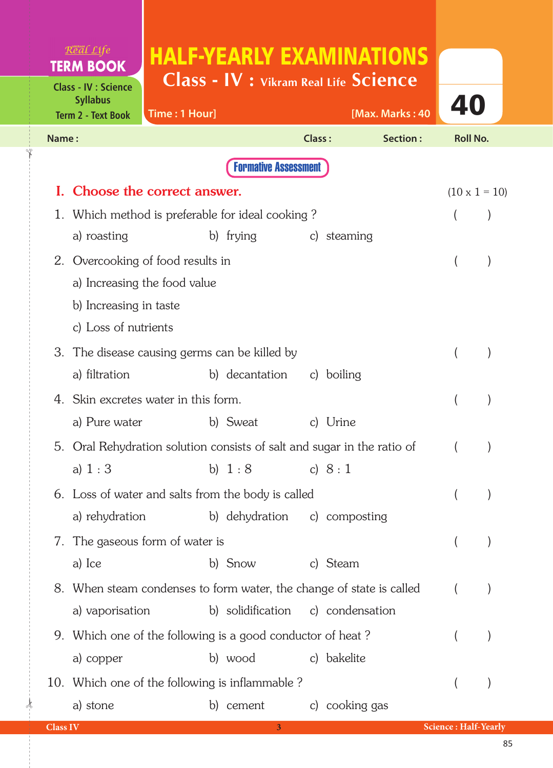| Real Life<br><b>TERM BOOK</b>                                               | <b>HALF-YEARLY EXAMINATIONS</b><br>Class - IV : Vikram Real Life Science |                          |                             |
|-----------------------------------------------------------------------------|--------------------------------------------------------------------------|--------------------------|-----------------------------|
| <b>Class - IV : Science</b><br><b>Syllabus</b><br><b>Term 2 - Text Book</b> | Time: 1 Hour]                                                            |                          | 40<br>[Max. Marks: 40       |
| Name:                                                                       |                                                                          | Class:                   | Section:<br><b>Roll No.</b> |
|                                                                             | <b>Formative Assessment</b>                                              |                          |                             |
|                                                                             | Choose the correct answer.                                               |                          | $(10 \times 1 = 10)$        |
| 1.                                                                          | Which method is preferable for ideal cooking?                            |                          |                             |
| a) roasting                                                                 | b) frying                                                                | steaming<br>$\mathsf{C}$ |                             |
| 2.                                                                          | Overcooking of food results in                                           |                          |                             |
|                                                                             | a) Increasing the food value                                             |                          |                             |
| b) Increasing in taste                                                      |                                                                          |                          |                             |
| c) Loss of nutrients                                                        |                                                                          |                          |                             |
| 3.                                                                          | The disease causing germs can be killed by                               |                          |                             |
| a) filtration                                                               | b) decantation                                                           | c) boiling               |                             |
|                                                                             | 4. Skin excretes water in this form.                                     |                          |                             |
| a) Pure water                                                               | b) Sweat                                                                 | c) Urine                 |                             |
| 5.                                                                          | Oral Rehydration solution consists of salt and sugar in the ratio of     |                          |                             |
| a) $1:3$                                                                    |                                                                          | b) $1:8$ c) $8:1$        |                             |
|                                                                             | 6. Loss of water and salts from the body is called                       |                          |                             |
| a) rehydration                                                              | b) dehydration                                                           | c) composting            |                             |
| 7.                                                                          | The gaseous form of water is                                             |                          |                             |
| a) Ice                                                                      | b) Snow                                                                  | c) Steam                 |                             |
|                                                                             | 8. When steam condenses to form water, the change of state is called     |                          |                             |
| a) vaporisation                                                             | b) solidification                                                        | c) condensation          |                             |
|                                                                             | 9. Which one of the following is a good conductor of heat?               |                          |                             |
| a) copper                                                                   | b) wood                                                                  | c) bakelite              |                             |
|                                                                             | 10. Which one of the following is inflammable?                           |                          |                             |
| a) stone                                                                    | b) cement                                                                | c) cooking gas           |                             |
| <b>Class IV</b>                                                             |                                                                          | 3 <sup>1</sup>           | <b>Science: Half-Yearly</b> |

 $\frac{1}{2}$ 

✁